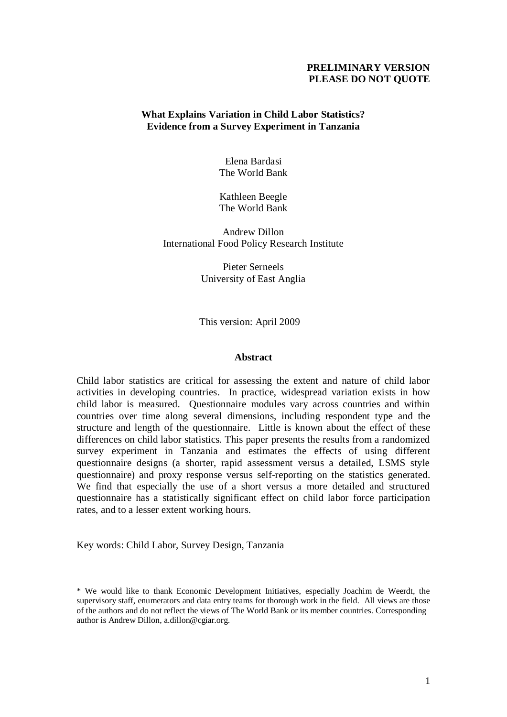# **PRELIMINARY VERSION PLEASE DO NOT QUOTE**

# **What Explains Variation in Child Labor Statistics? Evidence from a Survey Experiment in Tanzania**

Elena Bardasi The World Bank

Kathleen Beegle The World Bank

Andrew Dillon International Food Policy Research Institute

> Pieter Serneels University of East Anglia

This version: April 2009

#### **Abstract**

Child labor statistics are critical for assessing the extent and nature of child labor activities in developing countries. In practice, widespread variation exists in how child labor is measured. Questionnaire modules vary across countries and within countries over time along several dimensions, including respondent type and the structure and length of the questionnaire. Little is known about the effect of these differences on child labor statistics. This paper presents the results from a randomized survey experiment in Tanzania and estimates the effects of using different questionnaire designs (a shorter, rapid assessment versus a detailed, LSMS style questionnaire) and proxy response versus self-reporting on the statistics generated. We find that especially the use of a short versus a more detailed and structured questionnaire has a statistically significant effect on child labor force participation rates, and to a lesser extent working hours.

Key words: Child Labor, Survey Design, Tanzania

<sup>\*</sup> We would like to thank Economic Development Initiatives, especially Joachim de Weerdt, the supervisory staff, enumerators and data entry teams for thorough work in the field. All views are those of the authors and do not reflect the views of The World Bank or its member countries. Corresponding author is Andrew Dillon, a.dillon@cgiar.org.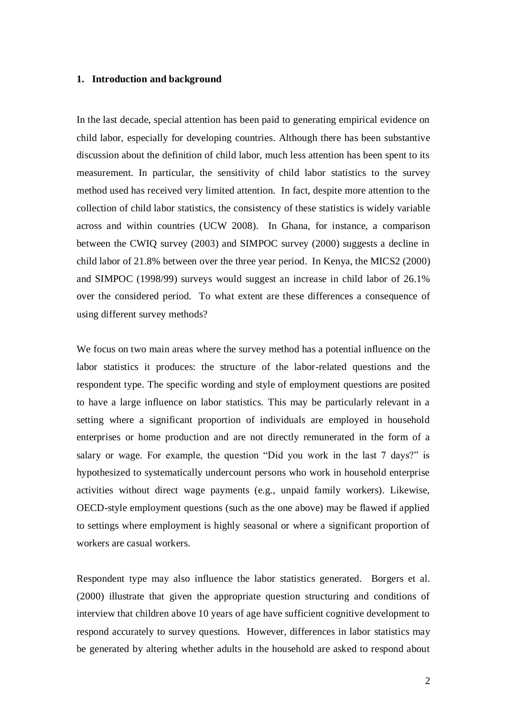#### **1. Introduction and background**

In the last decade, special attention has been paid to generating empirical evidence on child labor, especially for developing countries. Although there has been substantive discussion about the definition of child labor, much less attention has been spent to its measurement. In particular, the sensitivity of child labor statistics to the survey method used has received very limited attention. In fact, despite more attention to the collection of child labor statistics, the consistency of these statistics is widely variable across and within countries (UCW 2008). In Ghana, for instance, a comparison between the CWIQ survey (2003) and SIMPOC survey (2000) suggests a decline in child labor of 21.8% between over the three year period. In Kenya, the MICS2 (2000) and SIMPOC (1998/99) surveys would suggest an increase in child labor of 26.1% over the considered period. To what extent are these differences a consequence of using different survey methods?

We focus on two main areas where the survey method has a potential influence on the labor statistics it produces: the structure of the labor-related questions and the respondent type. The specific wording and style of employment questions are posited to have a large influence on labor statistics. This may be particularly relevant in a setting where a significant proportion of individuals are employed in household enterprises or home production and are not directly remunerated in the form of a salary or wage. For example, the question "Did you work in the last 7 days?" is hypothesized to systematically undercount persons who work in household enterprise activities without direct wage payments (e.g., unpaid family workers). Likewise, OECD-style employment questions (such as the one above) may be flawed if applied to settings where employment is highly seasonal or where a significant proportion of workers are casual workers.

Respondent type may also influence the labor statistics generated. Borgers et al. (2000) illustrate that given the appropriate question structuring and conditions of interview that children above 10 years of age have sufficient cognitive development to respond accurately to survey questions. However, differences in labor statistics may be generated by altering whether adults in the household are asked to respond about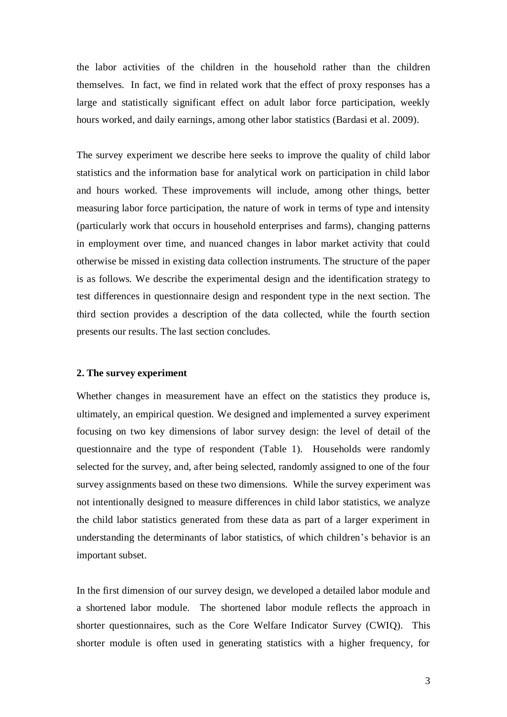the labor activities of the children in the household rather than the children themselves. In fact, we find in related work that the effect of proxy responses has a large and statistically significant effect on adult labor force participation, weekly hours worked, and daily earnings, among other labor statistics (Bardasi et al. 2009).

The survey experiment we describe here seeks to improve the quality of child labor statistics and the information base for analytical work on participation in child labor and hours worked. These improvements will include, among other things, better measuring labor force participation, the nature of work in terms of type and intensity (particularly work that occurs in household enterprises and farms), changing patterns in employment over time, and nuanced changes in labor market activity that could otherwise be missed in existing data collection instruments. The structure of the paper is as follows. We describe the experimental design and the identification strategy to test differences in questionnaire design and respondent type in the next section. The third section provides a description of the data collected, while the fourth section presents our results. The last section concludes.

### **2. The survey experiment**

Whether changes in measurement have an effect on the statistics they produce is, ultimately, an empirical question. We designed and implemented a survey experiment focusing on two key dimensions of labor survey design: the level of detail of the questionnaire and the type of respondent (Table 1). Households were randomly selected for the survey, and, after being selected, randomly assigned to one of the four survey assignments based on these two dimensions. While the survey experiment was not intentionally designed to measure differences in child labor statistics, we analyze the child labor statistics generated from these data as part of a larger experiment in understanding the determinants of labor statistics, of which children"s behavior is an important subset.

In the first dimension of our survey design, we developed a detailed labor module and a shortened labor module. The shortened labor module reflects the approach in shorter questionnaires, such as the Core Welfare Indicator Survey (CWIQ). This shorter module is often used in generating statistics with a higher frequency, for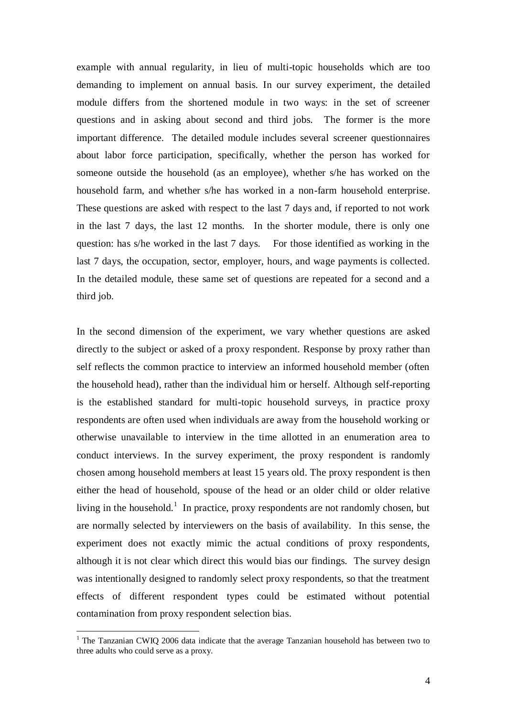example with annual regularity, in lieu of multi-topic households which are too demanding to implement on annual basis. In our survey experiment, the detailed module differs from the shortened module in two ways: in the set of screener questions and in asking about second and third jobs. The former is the more important difference. The detailed module includes several screener questionnaires about labor force participation, specifically, whether the person has worked for someone outside the household (as an employee), whether s/he has worked on the household farm, and whether s/he has worked in a non-farm household enterprise. These questions are asked with respect to the last 7 days and, if reported to not work in the last 7 days, the last 12 months. In the shorter module, there is only one question: has s/he worked in the last 7 days. For those identified as working in the last 7 days, the occupation, sector, employer, hours, and wage payments is collected. In the detailed module, these same set of questions are repeated for a second and a third job.

In the second dimension of the experiment, we vary whether questions are asked directly to the subject or asked of a proxy respondent. Response by proxy rather than self reflects the common practice to interview an informed household member (often the household head), rather than the individual him or herself. Although self-reporting is the established standard for multi-topic household surveys, in practice proxy respondents are often used when individuals are away from the household working or otherwise unavailable to interview in the time allotted in an enumeration area to conduct interviews. In the survey experiment, the proxy respondent is randomly chosen among household members at least 15 years old. The proxy respondent is then either the head of household, spouse of the head or an older child or older relative living in the household.<sup>1</sup> In practice, proxy respondents are not randomly chosen, but are normally selected by interviewers on the basis of availability. In this sense, the experiment does not exactly mimic the actual conditions of proxy respondents, although it is not clear which direct this would bias our findings. The survey design was intentionally designed to randomly select proxy respondents, so that the treatment effects of different respondent types could be estimated without potential contamination from proxy respondent selection bias.

<u>.</u>

<sup>&</sup>lt;sup>1</sup> The Tanzanian CWIQ 2006 data indicate that the average Tanzanian household has between two to three adults who could serve as a proxy.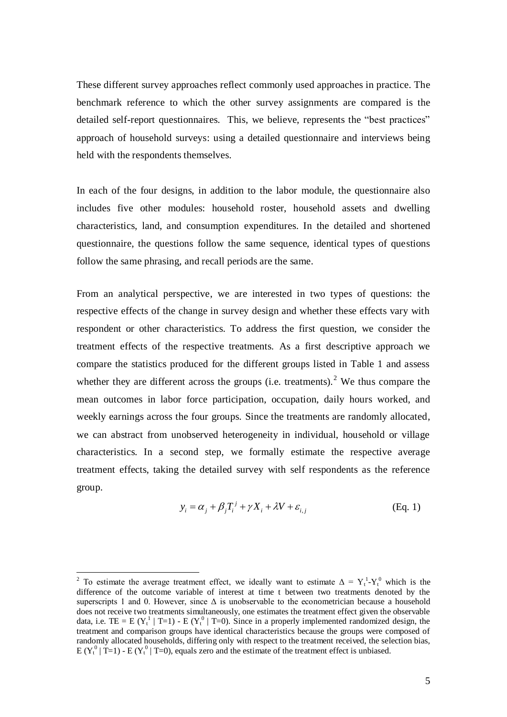These different survey approaches reflect commonly used approaches in practice. The benchmark reference to which the other survey assignments are compared is the detailed self-report questionnaires. This, we believe, represents the "best practices" approach of household surveys: using a detailed questionnaire and interviews being held with the respondents themselves.

In each of the four designs, in addition to the labor module, the questionnaire also includes five other modules: household roster, household assets and dwelling characteristics, land, and consumption expenditures. In the detailed and shortened questionnaire, the questions follow the same sequence, identical types of questions follow the same phrasing, and recall periods are the same.

From an analytical perspective, we are interested in two types of questions: the respective effects of the change in survey design and whether these effects vary with respondent or other characteristics. To address the first question, we consider the treatment effects of the respective treatments. As a first descriptive approach we compare the statistics produced for the different groups listed in Table 1 and assess whether they are different across the groups (i.e. treatments).<sup>2</sup> We thus compare the mean outcomes in labor force participation, occupation, daily hours worked, and weekly earnings across the four groups. Since the treatments are randomly allocated, we can abstract from unobserved heterogeneity in individual, household or village characteristics. In a second step, we formally estimate the respective average treatment effects, taking the detailed survey with self respondents as the reference group.

$$
y_i = \alpha_j + \beta_j T_i^j + \gamma X_i + \lambda V + \varepsilon_{i,j}
$$
 (Eq. 1)

-

<sup>&</sup>lt;sup>2</sup> To estimate the average treatment effect, we ideally want to estimate  $\Delta = Y_t^1 - Y_t^0$  which is the difference of the outcome variable of interest at time t between two treatments denoted by the superscripts 1 and 0. However, since  $\Delta$  is unobservable to the econometrician because a household does not receive two treatments simultaneously, one estimates the treatment effect given the observable data, i.e. TE = E ( $Y_t^1$  | T=1) - E ( $Y_t^0$  | T=0). Since in a properly implemented randomized design, the treatment and comparison groups have identical characteristics because the groups were composed of randomly allocated households, differing only with respect to the treatment received, the selection bias,  $E(Y_t^0 | T=1) - E(Y_t^0 | T=0)$ , equals zero and the estimate of the treatment effect is unbiased.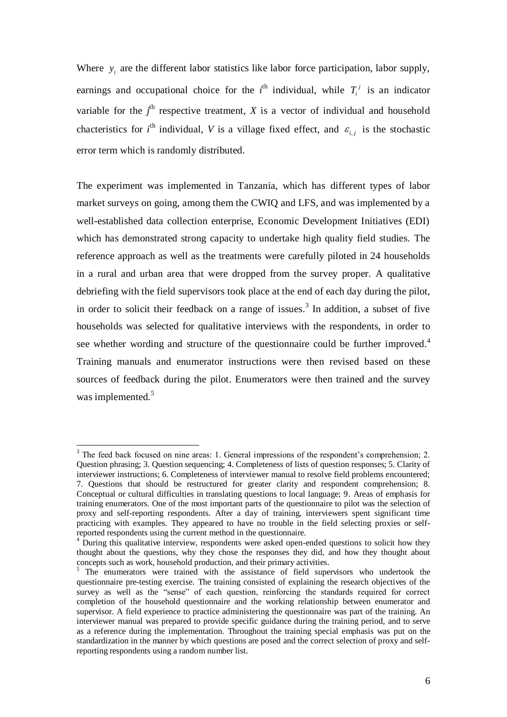Where  $y_i$  are the different labor statistics like labor force participation, labor supply, earnings and occupational choice for the  $i^{\text{th}}$  individual, while  $T_i^j$  is an indicator variable for the  $j<sup>th</sup>$  respective treatment,  $X$  is a vector of individual and household chacteristics for  $i^{\text{th}}$  individual, *V* is a village fixed effect, and  $\varepsilon_{i,j}$  is the stochastic error term which is randomly distributed.

The experiment was implemented in Tanzania, which has different types of labor market surveys on going, among them the CWIQ and LFS, and was implemented by a well-established data collection enterprise, Economic Development Initiatives (EDI) which has demonstrated strong capacity to undertake high quality field studies. The reference approach as well as the treatments were carefully piloted in 24 households in a rural and urban area that were dropped from the survey proper. A qualitative debriefing with the field supervisors took place at the end of each day during the pilot, in order to solicit their feedback on a range of issues. 3 In addition, a subset of five households was selected for qualitative interviews with the respondents, in order to see whether wording and structure of the questionnaire could be further improved.<sup>4</sup> Training manuals and enumerator instructions were then revised based on these sources of feedback during the pilot. Enumerators were then trained and the survey was implemented.<sup>5</sup>

<sup>&</sup>lt;sup>3</sup> The feed back focused on nine areas: 1. General impressions of the respondent's comprehension; 2. Question phrasing; 3. Question sequencing; 4. Completeness of lists of question responses; 5. Clarity of interviewer instructions; 6. Completeness of interviewer manual to resolve field problems encountered; 7. Questions that should be restructured for greater clarity and respondent comprehension; 8. Conceptual or cultural difficulties in translating questions to local language; 9. Areas of emphasis for training enumerators. One of the most important parts of the questionnaire to pilot was the selection of proxy and self-reporting respondents. After a day of training, interviewers spent significant time practicing with examples. They appeared to have no trouble in the field selecting proxies or selfreported respondents using the current method in the questionnaire.

 $4$  During this qualitative interview, respondents were asked open-ended questions to solicit how they thought about the questions, why they chose the responses they did, and how they thought about concepts such as work, household production, and their primary activities.

The enumerators were trained with the assistance of field supervisors who undertook the questionnaire pre-testing exercise. The training consisted of explaining the research objectives of the survey as well as the "sense" of each question, reinforcing the standards required for correct completion of the household questionnaire and the working relationship between enumerator and supervisor. A field experience to practice administering the questionnaire was part of the training. An interviewer manual was prepared to provide specific guidance during the training period, and to serve as a reference during the implementation. Throughout the training special emphasis was put on the standardization in the manner by which questions are posed and the correct selection of proxy and selfreporting respondents using a random number list.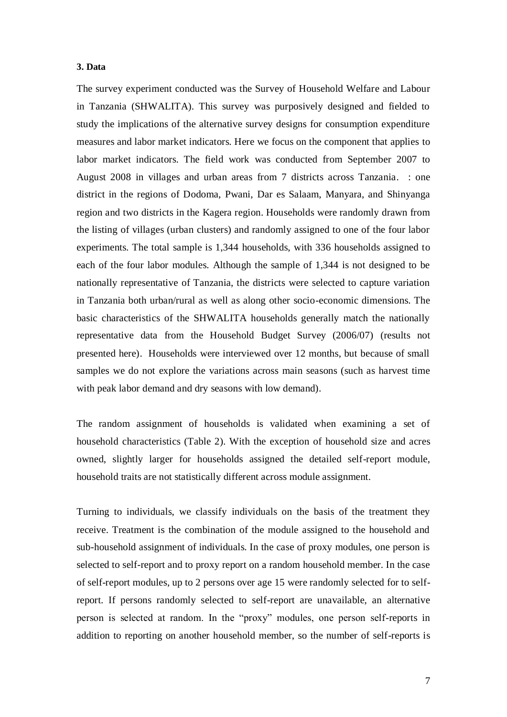#### **3. Data**

The survey experiment conducted was the Survey of Household Welfare and Labour in Tanzania (SHWALITA). This survey was purposively designed and fielded to study the implications of the alternative survey designs for consumption expenditure measures and labor market indicators. Here we focus on the component that applies to labor market indicators. The field work was conducted from September 2007 to August 2008 in villages and urban areas from 7 districts across Tanzania. : one district in the regions of Dodoma, Pwani, Dar es Salaam, Manyara, and Shinyanga region and two districts in the Kagera region. Households were randomly drawn from the listing of villages (urban clusters) and randomly assigned to one of the four labor experiments. The total sample is 1,344 households, with 336 households assigned to each of the four labor modules. Although the sample of 1,344 is not designed to be nationally representative of Tanzania, the districts were selected to capture variation in Tanzania both urban/rural as well as along other socio-economic dimensions. The basic characteristics of the SHWALITA households generally match the nationally representative data from the Household Budget Survey (2006/07) (results not presented here). Households were interviewed over 12 months, but because of small samples we do not explore the variations across main seasons (such as harvest time with peak labor demand and dry seasons with low demand).

The random assignment of households is validated when examining a set of household characteristics (Table 2). With the exception of household size and acres owned, slightly larger for households assigned the detailed self-report module, household traits are not statistically different across module assignment.

Turning to individuals, we classify individuals on the basis of the treatment they receive. Treatment is the combination of the module assigned to the household and sub-household assignment of individuals. In the case of proxy modules, one person is selected to self-report and to proxy report on a random household member. In the case of self-report modules, up to 2 persons over age 15 were randomly selected for to selfreport. If persons randomly selected to self-report are unavailable, an alternative person is selected at random. In the "proxy" modules, one person self-reports in addition to reporting on another household member, so the number of self-reports is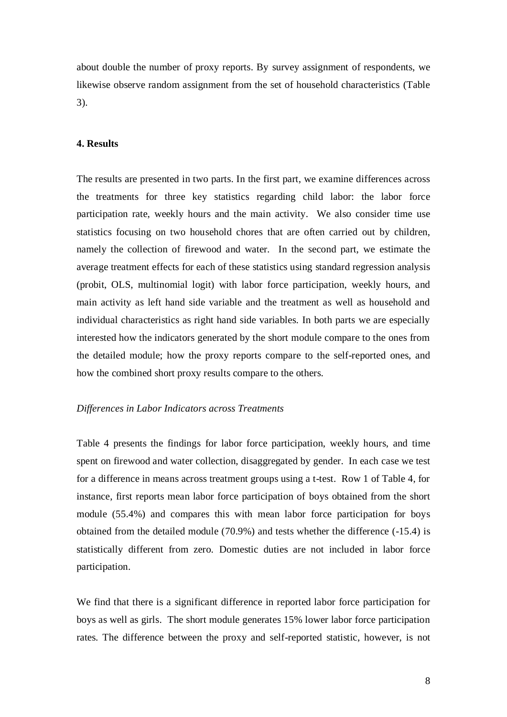about double the number of proxy reports. By survey assignment of respondents, we likewise observe random assignment from the set of household characteristics (Table 3).

# **4. Results**

The results are presented in two parts. In the first part, we examine differences across the treatments for three key statistics regarding child labor: the labor force participation rate, weekly hours and the main activity. We also consider time use statistics focusing on two household chores that are often carried out by children, namely the collection of firewood and water. In the second part, we estimate the average treatment effects for each of these statistics using standard regression analysis (probit, OLS, multinomial logit) with labor force participation, weekly hours, and main activity as left hand side variable and the treatment as well as household and individual characteristics as right hand side variables. In both parts we are especially interested how the indicators generated by the short module compare to the ones from the detailed module; how the proxy reports compare to the self-reported ones, and how the combined short proxy results compare to the others.

#### *Differences in Labor Indicators across Treatments*

Table 4 presents the findings for labor force participation, weekly hours, and time spent on firewood and water collection, disaggregated by gender. In each case we test for a difference in means across treatment groups using a t-test. Row 1 of Table 4, for instance, first reports mean labor force participation of boys obtained from the short module (55.4%) and compares this with mean labor force participation for boys obtained from the detailed module (70.9%) and tests whether the difference (-15.4) is statistically different from zero. Domestic duties are not included in labor force participation.

We find that there is a significant difference in reported labor force participation for boys as well as girls. The short module generates 15% lower labor force participation rates. The difference between the proxy and self-reported statistic, however, is not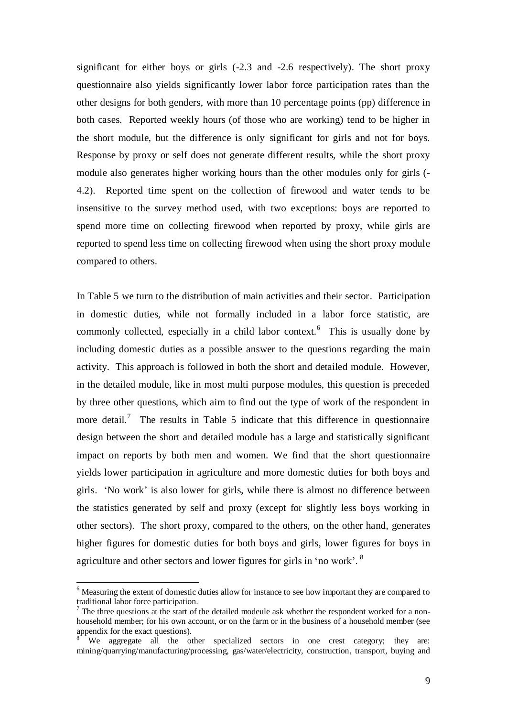significant for either boys or girls (-2.3 and -2.6 respectively). The short proxy questionnaire also yields significantly lower labor force participation rates than the other designs for both genders, with more than 10 percentage points (pp) difference in both cases. Reported weekly hours (of those who are working) tend to be higher in the short module, but the difference is only significant for girls and not for boys. Response by proxy or self does not generate different results, while the short proxy module also generates higher working hours than the other modules only for girls (- 4.2). Reported time spent on the collection of firewood and water tends to be insensitive to the survey method used, with two exceptions: boys are reported to spend more time on collecting firewood when reported by proxy, while girls are reported to spend less time on collecting firewood when using the short proxy module compared to others.

In Table 5 we turn to the distribution of main activities and their sector. Participation in domestic duties, while not formally included in a labor force statistic, are commonly collected, especially in a child labor context.<sup>6</sup> This is usually done by including domestic duties as a possible answer to the questions regarding the main activity. This approach is followed in both the short and detailed module. However, in the detailed module, like in most multi purpose modules, this question is preceded by three other questions, which aim to find out the type of work of the respondent in more detail.<sup>7</sup> The results in Table 5 indicate that this difference in questionnaire design between the short and detailed module has a large and statistically significant impact on reports by both men and women. We find that the short questionnaire yields lower participation in agriculture and more domestic duties for both boys and girls. "No work" is also lower for girls, while there is almost no difference between the statistics generated by self and proxy (except for slightly less boys working in other sectors). The short proxy, compared to the others, on the other hand, generates higher figures for domestic duties for both boys and girls, lower figures for boys in agriculture and other sectors and lower figures for girls in "no work". <sup>8</sup>

<u>.</u>

<sup>&</sup>lt;sup>6</sup> Measuring the extent of domestic duties allow for instance to see how important they are compared to traditional labor force participation.

 $<sup>7</sup>$  The three questions at the start of the detailed modeule ask whether the respondent worked for a non-</sup> household member; for his own account, or on the farm or in the business of a household member (see appendix for the exact questions).

We aggregate all the other specialized sectors in one crest category; they are: mining/quarrying/manufacturing/processing, gas/water/electricity, construction, transport, buying and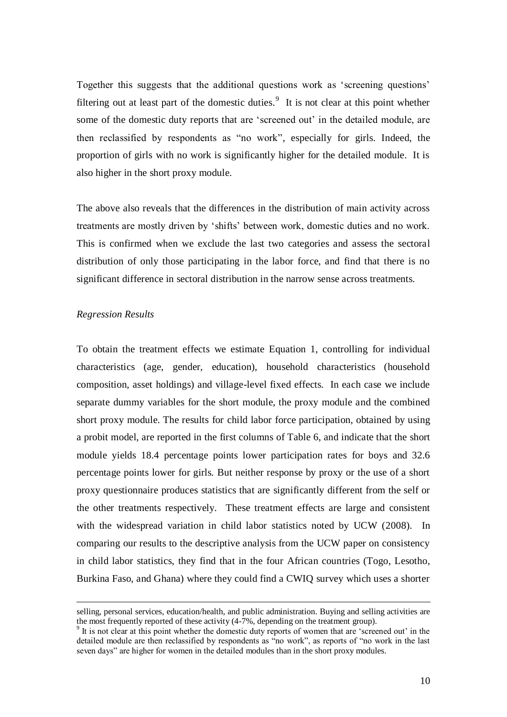Together this suggests that the additional questions work as "screening questions" filtering out at least part of the domestic duties. $9$  It is not clear at this point whether some of the domestic duty reports that are 'screened out' in the detailed module, are then reclassified by respondents as "no work", especially for girls. Indeed, the proportion of girls with no work is significantly higher for the detailed module. It is also higher in the short proxy module.

The above also reveals that the differences in the distribution of main activity across treatments are mostly driven by "shifts" between work, domestic duties and no work. This is confirmed when we exclude the last two categories and assess the sectoral distribution of only those participating in the labor force, and find that there is no significant difference in sectoral distribution in the narrow sense across treatments.

### *Regression Results*

<u>.</u>

To obtain the treatment effects we estimate Equation 1, controlling for individual characteristics (age, gender, education), household characteristics (household composition, asset holdings) and village-level fixed effects. In each case we include separate dummy variables for the short module, the proxy module and the combined short proxy module. The results for child labor force participation, obtained by using a probit model, are reported in the first columns of Table 6, and indicate that the short module yields 18.4 percentage points lower participation rates for boys and 32.6 percentage points lower for girls. But neither response by proxy or the use of a short proxy questionnaire produces statistics that are significantly different from the self or the other treatments respectively. These treatment effects are large and consistent with the widespread variation in child labor statistics noted by UCW (2008). In comparing our results to the descriptive analysis from the UCW paper on consistency in child labor statistics, they find that in the four African countries (Togo, Lesotho, Burkina Faso, and Ghana) where they could find a CWIQ survey which uses a shorter

selling, personal services, education/health, and public administration. Buying and selling activities are the most frequently reported of these activity (4-7%, depending on the treatment group).

<sup>&</sup>lt;sup>9</sup> It is not clear at this point whether the domestic duty reports of women that are 'screened out' in the detailed module are then reclassified by respondents as "no work", as reports of "no work in the last seven days" are higher for women in the detailed modules than in the short proxy modules.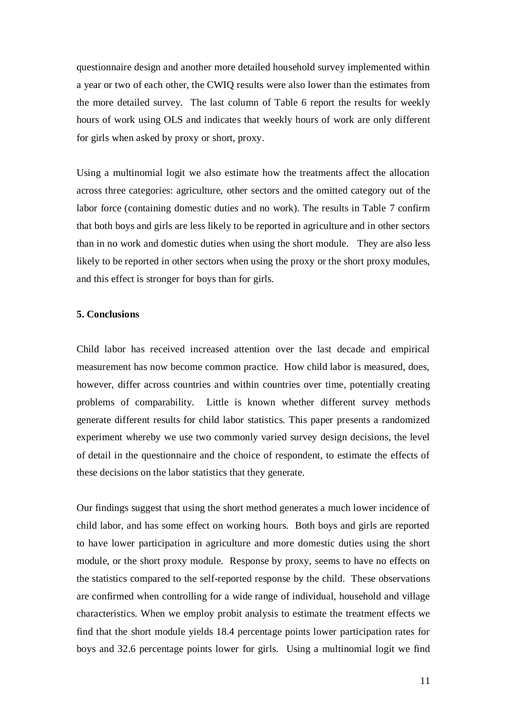questionnaire design and another more detailed household survey implemented within a year or two of each other, the CWIQ results were also lower than the estimates from the more detailed survey. The last column of Table 6 report the results for weekly hours of work using OLS and indicates that weekly hours of work are only different for girls when asked by proxy or short, proxy.

Using a multinomial logit we also estimate how the treatments affect the allocation across three categories: agriculture, other sectors and the omitted category out of the labor force (containing domestic duties and no work). The results in Table 7 confirm that both boys and girls are less likely to be reported in agriculture and in other sectors than in no work and domestic duties when using the short module. They are also less likely to be reported in other sectors when using the proxy or the short proxy modules, and this effect is stronger for boys than for girls.

# **5. Conclusions**

Child labor has received increased attention over the last decade and empirical measurement has now become common practice. How child labor is measured, does, however, differ across countries and within countries over time, potentially creating problems of comparability. Little is known whether different survey methods generate different results for child labor statistics. This paper presents a randomized experiment whereby we use two commonly varied survey design decisions, the level of detail in the questionnaire and the choice of respondent, to estimate the effects of these decisions on the labor statistics that they generate.

Our findings suggest that using the short method generates a much lower incidence of child labor, and has some effect on working hours. Both boys and girls are reported to have lower participation in agriculture and more domestic duties using the short module, or the short proxy module. Response by proxy, seems to have no effects on the statistics compared to the self-reported response by the child. These observations are confirmed when controlling for a wide range of individual, household and village characteristics. When we employ probit analysis to estimate the treatment effects we find that the short module yields 18.4 percentage points lower participation rates for boys and 32.6 percentage points lower for girls. Using a multinomial logit we find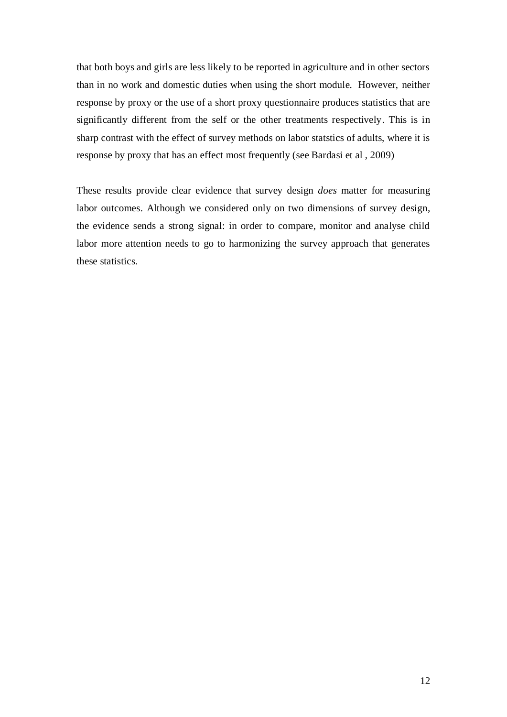that both boys and girls are less likely to be reported in agriculture and in other sectors than in no work and domestic duties when using the short module. However, neither response by proxy or the use of a short proxy questionnaire produces statistics that are significantly different from the self or the other treatments respectively. This is in sharp contrast with the effect of survey methods on labor statstics of adults, where it is response by proxy that has an effect most frequently (see Bardasi et al , 2009)

These results provide clear evidence that survey design *does* matter for measuring labor outcomes. Although we considered only on two dimensions of survey design, the evidence sends a strong signal: in order to compare, monitor and analyse child labor more attention needs to go to harmonizing the survey approach that generates these statistics.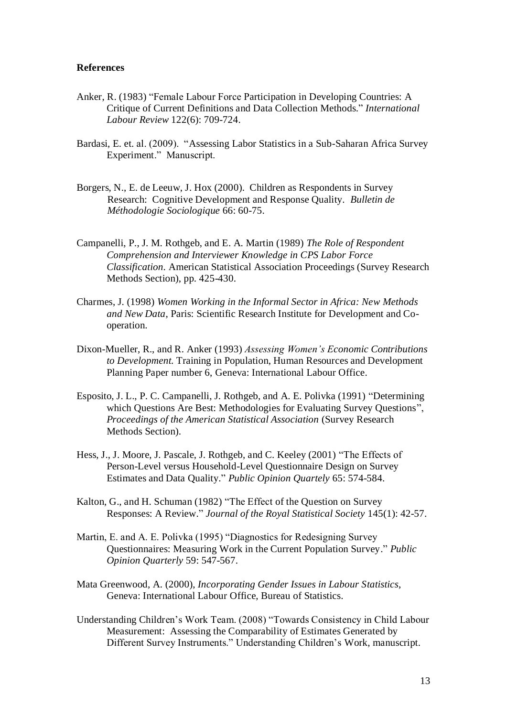### **References**

- Anker, R. (1983) "Female Labour Force Participation in Developing Countries: A Critique of Current Definitions and Data Collection Methods." *[International](javascript:__doLinkPostBack()  [Labour Review](javascript:__doLinkPostBack()* 122(6): 709-724.
- Bardasi, E. et. al. (2009). "Assessing Labor Statistics in a Sub-Saharan Africa Survey Experiment." Manuscript.
- Borgers, N., E. de Leeuw, J. Hox (2000). Children as Respondents in Survey Research: Cognitive Development and Response Quality. *Bulletin de Méthodologie Sociologique* 66: 60-75.
- Campanelli, P., J. M. Rothgeb, and E. A. Martin (1989) *The Role of Respondent Comprehension and Interviewer Knowledge in CPS Labor Force Classification.* American Statistical Association Proceedings (Survey Research Methods Section), pp. 425-430.
- Charmes, J. (1998) *Women Working in the Informal Sector in Africa: New Methods and New Data*, Paris: Scientific Research Institute for Development and Cooperation.
- Dixon-Mueller, R., and R. Anker (1993) *Assessing Women's Economic Contributions to Development.* Training in Population, Human Resources and Development Planning Paper number 6, Geneva: International Labour Office.
- Esposito, J. L., P. C. Campanelli, J. Rothgeb, and A. E. Polivka (1991) "Determining which Questions Are Best: Methodologies for Evaluating Survey Questions", *Proceedings of the American Statistical Association* (Survey Research Methods Section).
- Hess, J., J. Moore, J. Pascale, J. Rothgeb, and C. Keeley (2001) "The Effects of Person-Level versus Household-Level Questionnaire Design on Survey Estimates and Data Quality." *Public Opinion Quartely* 65: 574-584.
- Kalton, G., and H. Schuman (1982) "The Effect of the Question on Survey Responses: A Review." *Journal of the Royal Statistical Society* 145(1): 42-57.
- Martin, E. and A. E. Polivka (1995) "Diagnostics for Redesigning Survey Questionnaires: Measuring Work in the Current Population Survey." *Public Opinion Quarterly* 59: 547-567.
- Mata Greenwood, A. (2000), *[Incorporating Gender Issues in Labour Statistics](http://worldcat.org/oclc/45706941&referer=brief_results)*, Geneva: International Labour Office, Bureau of Statistics.
- Understanding Children"s Work Team. (2008) "Towards Consistency in Child Labour Measurement: Assessing the Comparability of Estimates Generated by Different Survey Instruments." Understanding Children"s Work, manuscript.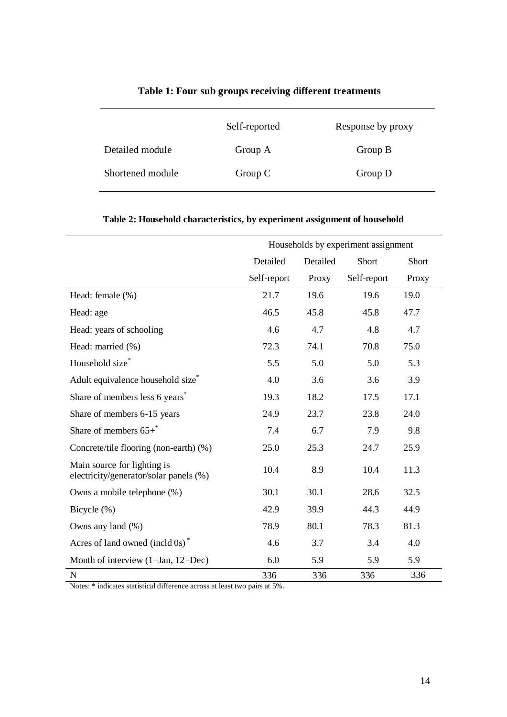|                  | Self-reported | Response by proxy |
|------------------|---------------|-------------------|
| Detailed module  | Group A       | Group B           |
| Shortened module | Group C       | Group D           |

# **Table 1: Four sub groups receiving different treatments**

|                                                                       |             |          | Households by experiment assignment |       |
|-----------------------------------------------------------------------|-------------|----------|-------------------------------------|-------|
|                                                                       | Detailed    | Detailed | Short                               | Short |
|                                                                       | Self-report | Proxy    | Self-report                         | Proxy |
| Head: female (%)                                                      | 21.7        | 19.6     | 19.6                                | 19.0  |
| Head: age                                                             | 46.5        | 45.8     | 45.8                                | 47.7  |
| Head: years of schooling                                              | 4.6         | 4.7      | 4.8                                 | 4.7   |
| Head: married (%)                                                     | 72.3        | 74.1     | 70.8                                | 75.0  |
| Household size*                                                       | 5.5         | 5.0      | 5.0                                 | 5.3   |
| Adult equivalence household size <sup>*</sup>                         | 4.0         | 3.6      | 3.6                                 | 3.9   |
| Share of members less 6 years <sup>*</sup>                            | 19.3        | 18.2     | 17.5                                | 17.1  |
| Share of members 6-15 years                                           | 24.9        | 23.7     | 23.8                                | 24.0  |
| Share of members $65 + \degree$                                       | 7.4         | 6.7      | 7.9                                 | 9.8   |
| Concrete/tile flooring (non-earth) (%)                                | 25.0        | 25.3     | 24.7                                | 25.9  |
| Main source for lighting is<br>electricity/generator/solar panels (%) | 10.4        | 8.9      | 10.4                                | 11.3  |
| Owns a mobile telephone (%)                                           | 30.1        | 30.1     | 28.6                                | 32.5  |
| Bicycle (%)                                                           | 42.9        | 39.9     | 44.3                                | 44.9  |
| Owns any land (%)                                                     | 78.9        | 80.1     | 78.3                                | 81.3  |
| Acres of land owned (incld $0s$ ) <sup>*</sup>                        | 4.6         | 3.7      | 3.4                                 | 4.0   |
| Month of interview $(1=Jan, 12=Dec)$                                  | 6.0         | 5.9      | 5.9                                 | 5.9   |
| $\mathbf N$                                                           | 336         | 336      | 336                                 | 336   |

Notes: \* indicates statistical difference across at least two pairs at 5%.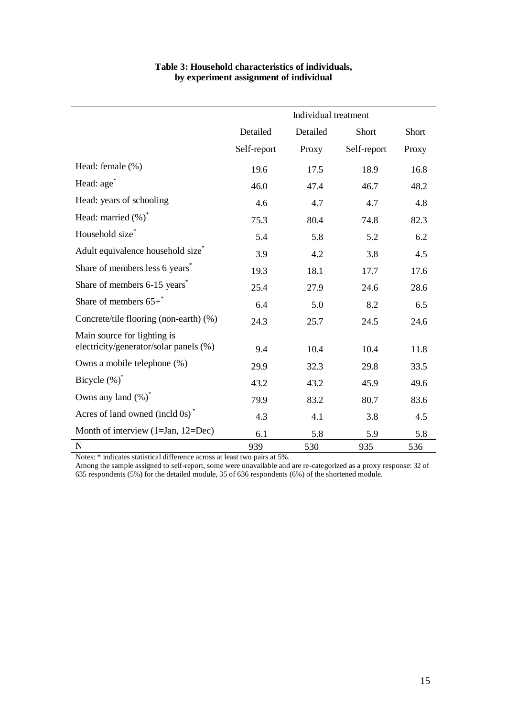| Table 3: Household characteristics of individuals, |
|----------------------------------------------------|
| by experiment assignment of individual             |

|                                                                       | Individual treatment |          |             |       |  |
|-----------------------------------------------------------------------|----------------------|----------|-------------|-------|--|
|                                                                       | Detailed             | Detailed | Short       | Short |  |
|                                                                       | Self-report          | Proxy    | Self-report | Proxy |  |
| Head: female (%)                                                      | 19.6                 | 17.5     | 18.9        | 16.8  |  |
| Head: age <sup>*</sup>                                                | 46.0                 | 47.4     | 46.7        | 48.2  |  |
| Head: years of schooling                                              | 4.6                  | 4.7      | 4.7         | 4.8   |  |
| Head: married (%)*                                                    | 75.3                 | 80.4     | 74.8        | 82.3  |  |
| Household size*                                                       | 5.4                  | 5.8      | 5.2         | 6.2   |  |
| Adult equivalence household size <sup>*</sup>                         | 3.9                  | 4.2      | 3.8         | 4.5   |  |
| Share of members less 6 years <sup>*</sup>                            | 19.3                 | 18.1     | 17.7        | 17.6  |  |
| Share of members 6-15 years <sup>*</sup>                              | 25.4                 | 27.9     | 24.6        | 28.6  |  |
| Share of members $65+\degree$                                         | 6.4                  | 5.0      | 8.2         | 6.5   |  |
| Concrete/tile flooring (non-earth) (%)                                | 24.3                 | 25.7     | 24.5        | 24.6  |  |
| Main source for lighting is<br>electricity/generator/solar panels (%) | 9.4                  | 10.4     | 10.4        | 11.8  |  |
| Owns a mobile telephone (%)                                           | 29.9                 | 32.3     | 29.8        | 33.5  |  |
| Bicycle $(\%)^*$                                                      | 43.2                 | 43.2     | 45.9        | 49.6  |  |
| Owns any land $(\%)^*$                                                | 79.9                 | 83.2     | 80.7        | 83.6  |  |
| Acres of land owned (incld $0s$ ) <sup>*</sup>                        | 4.3                  | 4.1      | 3.8         | 4.5   |  |
| Month of interview $(1=Jan, 12=Dec)$                                  | 6.1                  | 5.8      | 5.9         | 5.8   |  |
| ${\bf N}$                                                             | 939                  | 530      | 935         | 536   |  |

Notes: \* indicates statistical difference across at least two pairs at 5%.

Among the sample assigned to self-report, some were unavailable and are re-categorized as a proxy response: 32 of 635 respondents (5%) for the detailed module, 35 of 636 respondents (6%) of the shortened module.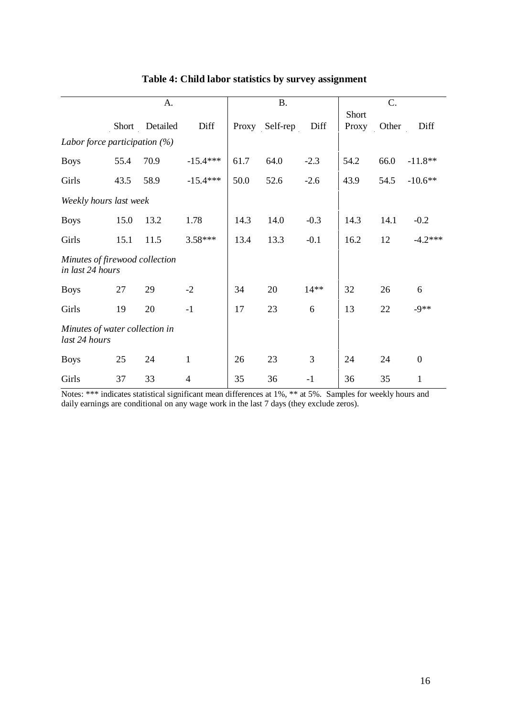|                                                    | A.    |          |              | <b>B.</b> |          |        | C.             |       |                  |
|----------------------------------------------------|-------|----------|--------------|-----------|----------|--------|----------------|-------|------------------|
|                                                    | Short | Detailed | Diff         | Proxy     | Self-rep | Diff   | Short<br>Proxy | Other | Diff             |
| Labor force participation $(%)$                    |       |          |              |           |          |        |                |       |                  |
| <b>Boys</b>                                        | 55.4  | 70.9     | $-15.4***$   | 61.7      | 64.0     | $-2.3$ | 54.2           | 66.0  | $-11.8**$        |
| Girls                                              | 43.5  | 58.9     | $-15.4***$   | 50.0      | 52.6     | $-2.6$ | 43.9           | 54.5  | $-10.6**$        |
| Weekly hours last week                             |       |          |              |           |          |        |                |       |                  |
| <b>Boys</b>                                        | 15.0  | 13.2     | 1.78         | 14.3      | 14.0     | $-0.3$ | 14.3           | 14.1  | $-0.2$           |
| Girls                                              | 15.1  | 11.5     | $3.58***$    | 13.4      | 13.3     | $-0.1$ | 16.2           | 12    | $-4.2***$        |
| Minutes of firewood collection<br>in last 24 hours |       |          |              |           |          |        |                |       |                  |
| <b>Boys</b>                                        | 27    | 29       | $-2$         | 34        | 20       | $14**$ | 32             | 26    | 6                |
| Girls                                              | 19    | 20       | $-1$         | 17        | 23       | 6      | 13             | 22    | $-9**$           |
| Minutes of water collection in<br>last 24 hours    |       |          |              |           |          |        |                |       |                  |
| <b>Boys</b>                                        | 25    | 24       | $\mathbf{1}$ | 26        | 23       | 3      | 24             | 24    | $\boldsymbol{0}$ |
| Girls                                              | 37    | 33       | 4            | 35        | 36       | $-1$   | 36             | 35    | 1                |

**Table 4: Child labor statistics by survey assignment**

Notes: \*\*\* indicates statistical significant mean differences at 1%, \*\* at 5%. Samples for weekly hours and daily earnings are conditional on any wage work in the last 7 days (they exclude zeros).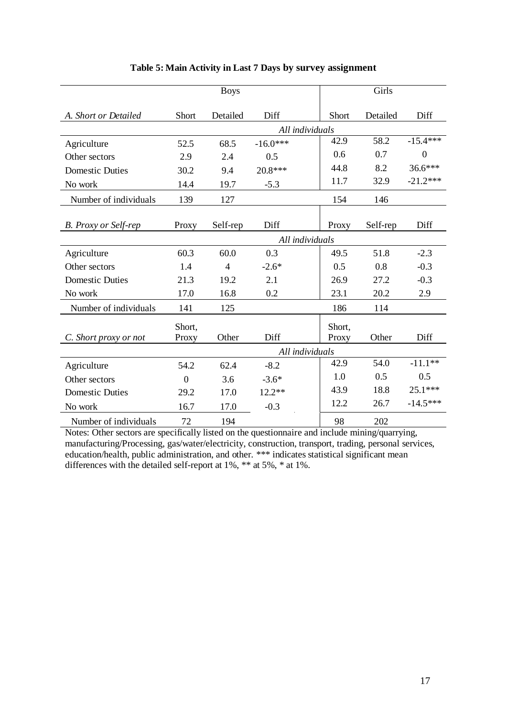|                             |          | <b>Boys</b>    |                 |                 | Girls    |                |
|-----------------------------|----------|----------------|-----------------|-----------------|----------|----------------|
| A. Short or Detailed        | Short    | Detailed       | Diff            | Short           | Detailed | Diff           |
|                             |          |                | All individuals |                 |          |                |
| Agriculture                 | 52.5     | 68.5           | $-16.0***$      | 42.9            | 58.2     | $-15.4***$     |
| Other sectors               | 2.9      | 2.4            | 0.5             | 0.6             | 0.7      | $\overline{0}$ |
| <b>Domestic Duties</b>      | 30.2     | 9.4            | 20.8***         | 44.8            | 8.2      | 36.6***        |
| No work                     | 14.4     | 19.7           | $-5.3$          | 11.7            | 32.9     | $-21.2***$     |
| Number of individuals       | 139      | 127            |                 | 154             | 146      |                |
|                             |          |                |                 |                 |          |                |
| <b>B.</b> Proxy or Self-rep | Proxy    | Self-rep       | Diff            | Proxy           | Self-rep | Diff           |
|                             |          |                |                 | All individuals |          |                |
| Agriculture                 | 60.3     | 60.0           | 0.3             | 49.5            | 51.8     | $-2.3$         |
| Other sectors               | 1.4      | $\overline{4}$ | $-2.6*$         | 0.5             | 0.8      | $-0.3$         |
| <b>Domestic Duties</b>      | 21.3     | 19.2           | 2.1             | 26.9            | 27.2     | $-0.3$         |
| No work                     | 17.0     | 16.8           | 0.2             | 23.1            | 20.2     | 2.9            |
| Number of individuals       | 141      | 125            |                 | 186             | 114      |                |
|                             | Short,   |                |                 | Short,          |          |                |
| C. Short proxy or not       | Proxy    | Other          | Diff            | Proxy           | Other    | Diff           |
|                             |          |                | All individuals |                 |          |                |
| Agriculture                 | 54.2     | 62.4           | $-8.2$          | 42.9            | 54.0     | $-11.1**$      |
| Other sectors               | $\theta$ | 3.6            | $-3.6*$         | 1.0             | 0.5      | 0.5            |
| <b>Domestic Duties</b>      | 29.2     | 17.0           | $12.2**$        | 43.9            | 18.8     | 25.1***        |
| No work                     | 16.7     | 17.0           | $-0.3$          | 12.2            | 26.7     | $-14.5***$     |
| Number of individuals       | 72       | 194            |                 | 98              | 202      |                |

# **Table 5: Main Activity in Last 7 Days by survey assignment**

Notes: Other sectors are specifically listed on the questionnaire and include mining/quarrying, manufacturing/Processing, gas/water/electricity, construction, transport, trading, personal services, education/health, public administration, and other. \*\*\* indicates statistical significant mean differences with the detailed self-report at 1%, \*\* at 5%, \* at 1%.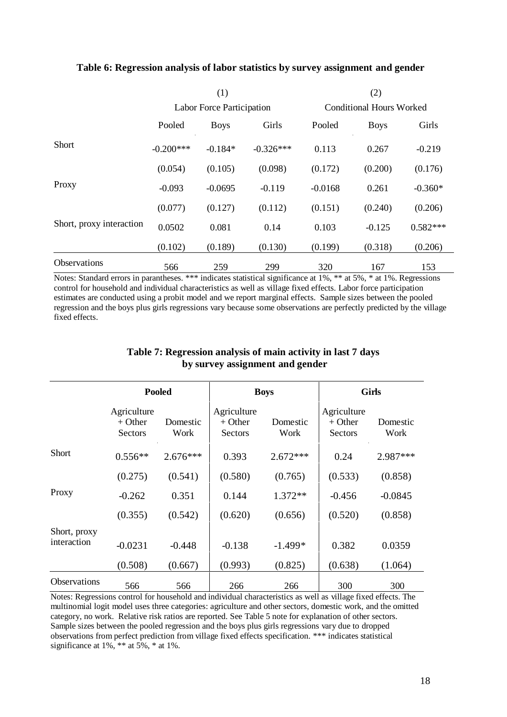|                          | (1)         |                           |             | (2)                      |             |            |
|--------------------------|-------------|---------------------------|-------------|--------------------------|-------------|------------|
|                          |             | Labor Force Participation |             | Conditional Hours Worked |             |            |
|                          | Pooled      | <b>Boys</b>               | Girls       | Pooled                   | <b>Boys</b> | Girls      |
| <b>Short</b>             | $-0.200***$ | $-0.184*$                 | $-0.326***$ | 0.113                    | 0.267       | $-0.219$   |
|                          | (0.054)     | (0.105)                   | (0.098)     | (0.172)                  | (0.200)     | (0.176)    |
| Proxy                    | $-0.093$    | $-0.0695$                 | $-0.119$    | $-0.0168$                | 0.261       | $-0.360*$  |
|                          | (0.077)     | (0.127)                   | (0.112)     | (0.151)                  | (0.240)     | (0.206)    |
| Short, proxy interaction | 0.0502      | 0.081                     | 0.14        | 0.103                    | $-0.125$    | $0.582***$ |
|                          | (0.102)     | (0.189)                   | (0.130)     | (0.199)                  | (0.318)     | (0.206)    |
| <b>Observations</b>      | 566         | 259                       | 299         | 320                      | 167         | 153        |

# **Table 6: Regression analysis of labor statistics by survey assignment and gender**

Notes: Standard errors in parantheses. \*\*\* indicates statistical significance at 1%, \*\* at 5%, \* at 1%. Regressions control for household and individual characteristics as well as village fixed effects. Labor force participation estimates are conducted using a probit model and we report marginal effects. Sample sizes between the pooled regression and the boys plus girls regressions vary because some observations are perfectly predicted by the village fixed effects.

|                             | <b>Pooled</b>                       |                  |                                     | <b>Boys</b>      | <b>Girls</b>                               |                  |  |
|-----------------------------|-------------------------------------|------------------|-------------------------------------|------------------|--------------------------------------------|------------------|--|
|                             | Agriculture<br>$+$ Other<br>Sectors | Domestic<br>Work | Agriculture<br>$+$ Other<br>Sectors | Domestic<br>Work | Agriculture<br>$+$ Other<br><b>Sectors</b> | Domestic<br>Work |  |
| <b>Short</b>                | $0.556**$                           | $2.676***$       | 0.393                               | $2.672***$       | 0.24                                       | 2.987***         |  |
|                             | (0.275)                             | (0.541)          | (0.580)                             | (0.765)          | (0.533)                                    | (0.858)          |  |
| Proxy                       | $-0.262$                            | 0.351            | 0.144                               | $1.372**$        | $-0.456$                                   | $-0.0845$        |  |
|                             | (0.355)                             | (0.542)          | (0.620)                             | (0.656)          | (0.520)                                    | (0.858)          |  |
| Short, proxy<br>interaction | $-0.0231$                           | $-0.448$         | $-0.138$                            | $-1.499*$        | 0.382                                      | 0.0359           |  |
|                             | (0.508)                             | (0.667)          | (0.993)                             | (0.825)          | (0.638)                                    | (1.064)          |  |
| <b>Observations</b>         | 566                                 | 566              | 266                                 | 266              | 300                                        | 300              |  |

### **Table 7: Regression analysis of main activity in last 7 days by survey assignment and gender**

Notes: Regressions control for household and individual characteristics as well as village fixed effects. The multinomial logit model uses three categories: agriculture and other sectors, domestic work, and the omitted category, no work. Relative risk ratios are reported. See Table 5 note for explanation of other sectors. Sample sizes between the pooled regression and the boys plus girls regressions vary due to dropped observations from perfect prediction from village fixed effects specification. \*\*\* indicates statistical significance at 1%, \*\* at 5%, \* at 1%.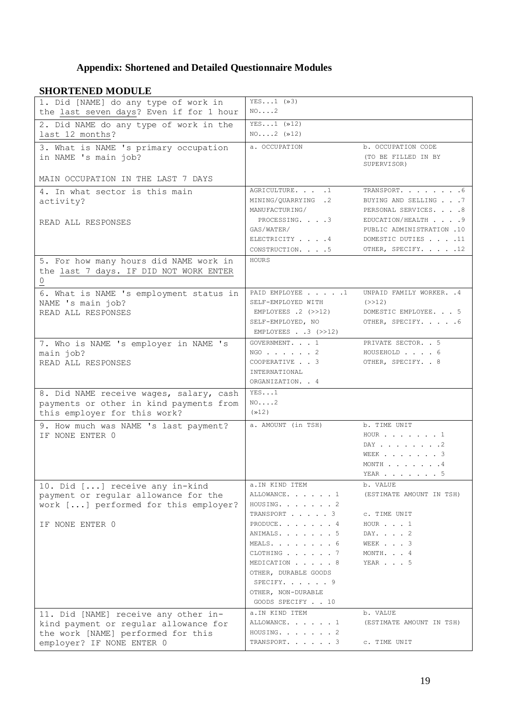# **Appendix: Shortened and Detailed Questionnaire Modules**

# **SHORTENED MODULE**

| ЯНОКТЕРНО МОРОЕС                                                                                                                                 | $YES1$ ( $\gg$ 3)                                                                                                                                                             |                                                                                  |
|--------------------------------------------------------------------------------------------------------------------------------------------------|-------------------------------------------------------------------------------------------------------------------------------------------------------------------------------|----------------------------------------------------------------------------------|
| 1. Did [NAME] do any type of work in<br>the last seven days? Even if for 1 hour                                                                  | NO. 2                                                                                                                                                                         |                                                                                  |
| 2. Did NAME do any type of work in the<br>last 12 months?                                                                                        | $YES1$ ( $*12$ )<br>$NO2$ $(\gg 12)$                                                                                                                                          |                                                                                  |
| 3. What is NAME 's primary occupation<br>in NAME 's main job?                                                                                    | a. OCCUPATION                                                                                                                                                                 | b. OCCUPATION CODE<br>(TO BE FILLED IN BY<br>SUPERVISOR)                         |
| MAIN OCCUPATION IN THE LAST 7 DAYS                                                                                                               |                                                                                                                                                                               |                                                                                  |
| 4. In what sector is this main<br>activity?                                                                                                      | AGRICULTURE. 1<br>MINING/QUARRYING .2<br>MANUFACTURING/                                                                                                                       | TRANSPORT. 6<br>BUYING AND SELLING 7<br>PERSONAL SERVICES. 8                     |
| READ ALL RESPONSES                                                                                                                               | PROCESSING. 3<br>GAS/WATER/<br>ELECTRICITY 4                                                                                                                                  | EDUCATION/HEALTH 9<br>PUBLIC ADMINISTRATION .10<br>DOMESTIC DUTIES 11            |
|                                                                                                                                                  | CONSTRUCTION. 5                                                                                                                                                               | OTHER, SPECIFY. 12                                                               |
| 5. For how many hours did NAME work in<br>the last 7 days. IF DID NOT WORK ENTER<br>0                                                            | <b>HOURS</b>                                                                                                                                                                  |                                                                                  |
| 6. What is NAME 's employment status in<br>NAME 's main job?<br>READ ALL RESPONSES                                                               | PAID EMPLOYEE 1<br>SELF-EMPLOYED WITH<br>EMPLOYEES $.2$ ( $>>12$ )<br>SELF-EMPLOYED, NO<br>EMPLOYEES 3 $(>>12)$                                                               | UNPAID FAMILY WORKER. . 4<br>(>>12)<br>DOMESTIC EMPLOYEE. 5<br>OTHER, SPECIFY. 6 |
| 7. Who is NAME 's employer in NAME 's<br>main job?<br>READ ALL RESPONSES                                                                         | GOVERNMENT. 1<br>$NGO$ 2<br>COOPERATIVE 3<br>INTERNATIONAL<br>ORGANIZATION. . 4                                                                                               | PRIVATE SECTOR. . 5<br>HOUSEHOLD 6<br>OTHER, SPECIFY. . 8                        |
| 8. Did NAME receive wages, salary, cash<br>payments or other in kind payments from<br>this employer for this work?                               | YES1<br>NO. 2<br>$(x)$ 12)                                                                                                                                                    |                                                                                  |
| 9. How much was NAME 's last payment?<br>IF NONE ENTER 0                                                                                         | a. AMOUNT (in TSH)                                                                                                                                                            | b. TIME UNIT<br>HOUR 1<br>DAY 2<br>WEEK 3<br>MONTH 4<br>YEAR 5                   |
| 10. Did [] receive any in-kind<br>payment or regular allowance for the<br>work [] performed for this employer?                                   | a.IN KIND ITEM<br>ALLOWANCE. 1<br>HOUSING. 2<br>TRANSPORT 3                                                                                                                   | b. VALUE<br>(ESTIMATE AMOUNT IN TSH)<br>C. TIME UNIT                             |
| IF NONE ENTER 0                                                                                                                                  | PRODUCE. 4<br>ANIMALS. 5<br>MEALS. $\ldots$ $\ldots$ $\ldots$ 6<br>CLOTHING 7<br>MEDICATION 8<br>OTHER, DURABLE GOODS<br>SPECIFY. 9<br>OTHER, NON-DURABLE<br>GOODS SPECIFY 10 | HOUR $\ldots$ 1<br>DAY. 2<br>WEEK 3<br>MONTH. 4<br>YEAR 5                        |
| 11. Did [NAME] receive any other in-<br>kind payment or regular allowance for<br>the work [NAME] performed for this<br>employer? IF NONE ENTER 0 | a. IN KIND ITEM<br>ALLOWANCE. 1<br>HOUSING. 2<br>TRANSPORT. 3                                                                                                                 | b. VALUE<br>(ESTIMATE AMOUNT IN TSH)<br>C. TIME UNIT                             |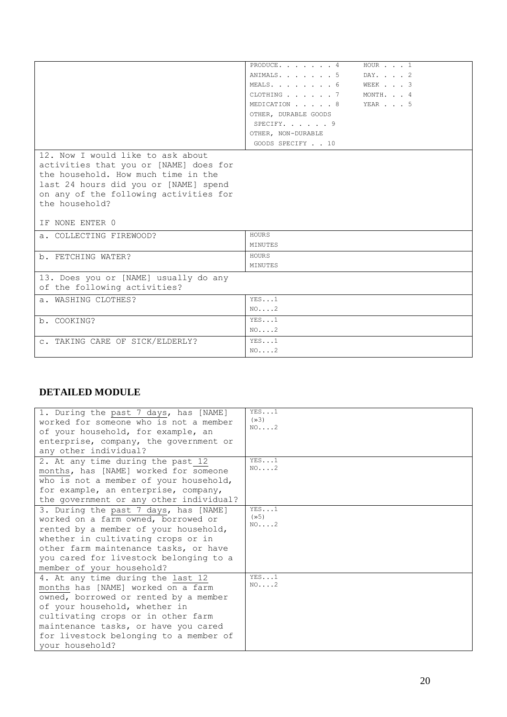|                                                                                                                                                                                                       | PRODUCE. $\cdots$ $\cdots$ $\frac{4}{1}$ | HOUR 1     |
|-------------------------------------------------------------------------------------------------------------------------------------------------------------------------------------------------------|------------------------------------------|------------|
|                                                                                                                                                                                                       | ANIMALS. 5                               | $DAY.$ 2   |
|                                                                                                                                                                                                       | MEALS. 6                                 | WEEK 3     |
|                                                                                                                                                                                                       | CLOTHING 7                               | MONTH. . 4 |
|                                                                                                                                                                                                       | MEDICATION 8                             | YEAR 5     |
|                                                                                                                                                                                                       | OTHER, DURABLE GOODS                     |            |
|                                                                                                                                                                                                       | SPECIFY. $\cdot$ 9                       |            |
|                                                                                                                                                                                                       | OTHER, NON-DURABLE                       |            |
|                                                                                                                                                                                                       | GOODS SPECIFY 10                         |            |
| 12. Now I would like to ask about<br>activities that you or [NAME] does for<br>the household. How much time in the<br>last 24 hours did you or [NAME] spend<br>on any of the following activities for |                                          |            |
| the household?                                                                                                                                                                                        |                                          |            |
| IF NONE ENTER 0                                                                                                                                                                                       |                                          |            |
| a. COLLECTING FIREWOOD?                                                                                                                                                                               | HOURS                                    |            |
|                                                                                                                                                                                                       | MINUTES                                  |            |
|                                                                                                                                                                                                       | HOURS                                    |            |
| b. FETCHING WATER?                                                                                                                                                                                    | MINUTES                                  |            |
| 13. Does you or [NAME] usually do any<br>of the following activities?                                                                                                                                 |                                          |            |
| a. WASHING CLOTHES?                                                                                                                                                                                   | YES1                                     |            |
|                                                                                                                                                                                                       | NO. 2                                    |            |
| b. COOKING?                                                                                                                                                                                           | YES1                                     |            |
|                                                                                                                                                                                                       | NO. 2                                    |            |
| C. TAKING CARE OF SICK/ELDERLY?                                                                                                                                                                       | YES1                                     |            |

# **DETAILED MODULE**

| 1. During the past 7 days, has [NAME]<br>worked for someone who is not a member<br>of your household, for example, an<br>enterprise, company, the government or<br>any other individual?                                                                                                     | YES1<br>(x)<br>NO. 2                   |
|----------------------------------------------------------------------------------------------------------------------------------------------------------------------------------------------------------------------------------------------------------------------------------------------|----------------------------------------|
| 2. At any time during the past 12<br>months, has [NAME] worked for someone<br>who is not a member of your household,<br>for example, an enterprise, company,<br>the government or any other individual?                                                                                      | YES1<br>NO. 2                          |
| 3. During the past 7 days, has [NAME]<br>worked on a farm owned, borrowed or<br>rented by a member of your household,<br>whether in cultivating crops or in<br>other farm maintenance tasks, or have<br>you cared for livestock belonging to a<br>member of your household?                  | YES1<br>$(\times 5)$<br>$NO. \ldots 2$ |
| 4. At any time during the last 12<br>months has [NAME] worked on a farm<br>owned, borrowed or rented by a member<br>of your household, whether in<br>cultivating crops or in other farm<br>maintenance tasks, or have you cared<br>for livestock belonging to a member of<br>your household? | YES1<br>$NO.$ 2                        |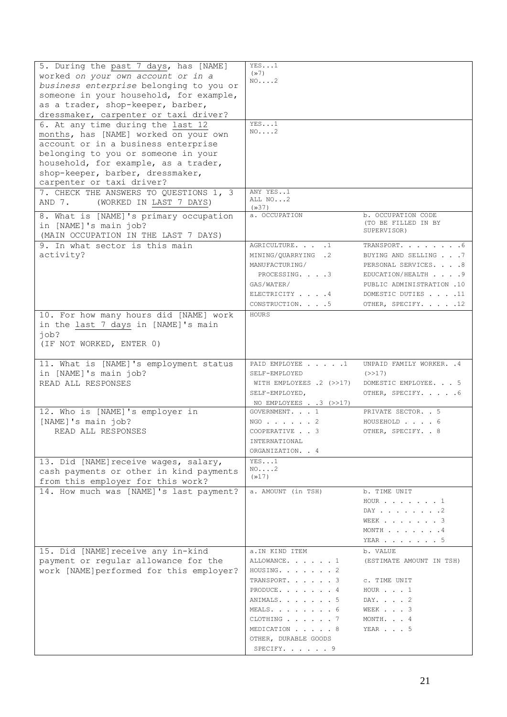| 5. During the past 7 days, has [NAME]<br>worked on your own account or in a<br>business enterprise belonging to you or<br>someone in your household, for example,<br>as a trader, shop-keeper, barber,<br>dressmaker, carpenter or taxi driver?<br>6. At any time during the last 12<br>months, has [NAME] worked on your own<br>account or in a business enterprise<br>belonging to you or someone in your<br>household, for example, as a trader,<br>shop-keeper, barber, dressmaker,<br>carpenter or taxi driver?<br>7. CHECK THE ANSWERS TO QUESTIONS 1, 3 | YES1<br>(x)<br>$NO. \ldots 2$<br>YES1<br>$NO. \ldots 2$<br>ANY YES1                                                                                                       |                                                                                                                                                             |
|----------------------------------------------------------------------------------------------------------------------------------------------------------------------------------------------------------------------------------------------------------------------------------------------------------------------------------------------------------------------------------------------------------------------------------------------------------------------------------------------------------------------------------------------------------------|---------------------------------------------------------------------------------------------------------------------------------------------------------------------------|-------------------------------------------------------------------------------------------------------------------------------------------------------------|
| AND 7. (WORKED IN LAST 7 DAYS)                                                                                                                                                                                                                                                                                                                                                                                                                                                                                                                                 | ALL NO2<br>(x37)                                                                                                                                                          |                                                                                                                                                             |
| 8. What is [NAME]'s primary occupation<br>in [NAME]'s main job?<br>(MAIN OCCUPATION IN THE LAST 7 DAYS)                                                                                                                                                                                                                                                                                                                                                                                                                                                        | a. OCCUPATION                                                                                                                                                             | b. OCCUPATION CODE<br>(TO BE FILLED IN BY<br>SUPERVISOR)                                                                                                    |
| 9. In what sector is this main<br>activity?                                                                                                                                                                                                                                                                                                                                                                                                                                                                                                                    | AGRICULTURE. 1<br>MINING/QUARRYING .2<br>MANUFACTURING/<br>PROCESSING. 3<br>GAS/WATER/<br>ELECTRICITY 4<br>CONSTRUCTION. 5                                                | TRANSPORT. 6<br>BUYING AND SELLING 7<br>PERSONAL SERVICES. 8<br>EDUCATION/HEALTH 9<br>PUBLIC ADMINISTRATION .10<br>DOMESTIC DUTIES 11<br>OTHER, SPECIFY. 12 |
| 10. For how many hours did [NAME] work<br>in the last 7 days in [NAME]'s main<br>$i$ ob?<br>(IF NOT WORKED, ENTER 0)                                                                                                                                                                                                                                                                                                                                                                                                                                           | HOURS                                                                                                                                                                     |                                                                                                                                                             |
| 11. What is [NAME]'s employment status<br>in [NAME]'s main job?<br>READ ALL RESPONSES                                                                                                                                                                                                                                                                                                                                                                                                                                                                          | PAID EMPLOYEE 1<br>SELF-EMPLOYED<br>WITH EMPLOYEES .2 (>>17)<br>SELF-EMPLOYED,<br>NO EMPLOYEES $. 3$ ( $>>17$ )                                                           | UNPAID FAMILY WORKER. . 4<br>(>>17)<br>DOMESTIC EMPLOYEE. 5<br>OTHER, SPECIFY. 6                                                                            |
| 12. Who is [NAME]'s employer in<br>[NAME]'s main job?<br>READ ALL RESPONSES                                                                                                                                                                                                                                                                                                                                                                                                                                                                                    | GOVERNMENT. 1<br>$NGO$ 2<br>COOPERATIVE 3<br>INTERNATIONAL<br>ORGANIZATION. . 4                                                                                           | PRIVATE SECTOR. . 5<br>HOUSEHOLD 6<br>OTHER, SPECIFY. . 8                                                                                                   |
| 13. Did [NAME] receive wages, salary,<br>cash payments or other in kind payments<br>from this employer for this work?                                                                                                                                                                                                                                                                                                                                                                                                                                          | YES1<br>$NO. \ldots 2$<br>(x17)                                                                                                                                           |                                                                                                                                                             |
| 14. How much was [NAME]'s last payment?                                                                                                                                                                                                                                                                                                                                                                                                                                                                                                                        | a. AMOUNT (in TSH)                                                                                                                                                        | b. TIME UNIT<br>$HOUR$ 1<br>DAY 2<br>WEEK 3<br>MONTH $\ldots$ $\ldots$ $\ldots$ $\frac{4}{3}$<br>YEAR $\ldots$ $\ldots$ $\ldots$ 5                          |
| 15. Did [NAME] receive any in-kind<br>payment or regular allowance for the<br>work [NAME]performed for this employer?                                                                                                                                                                                                                                                                                                                                                                                                                                          | a. IN KIND ITEM<br>ALLOWANCE. 1<br>HOUSING. 2<br>TRANSPORT. 3<br>PRODUCE. 4<br>ANIMALS. 5<br>MEALS. 6<br>CLOTHING 7<br>MEDICATION 8<br>OTHER, DURABLE GOODS<br>SPECIFY. 9 | b. VALUE<br>(ESTIMATE AMOUNT IN TSH)<br>C. TIME UNIT<br>HOUR $\ldots$ 1<br>DAY. 2<br>WEEK 3<br>MONTH. 4<br>YEAR 5                                           |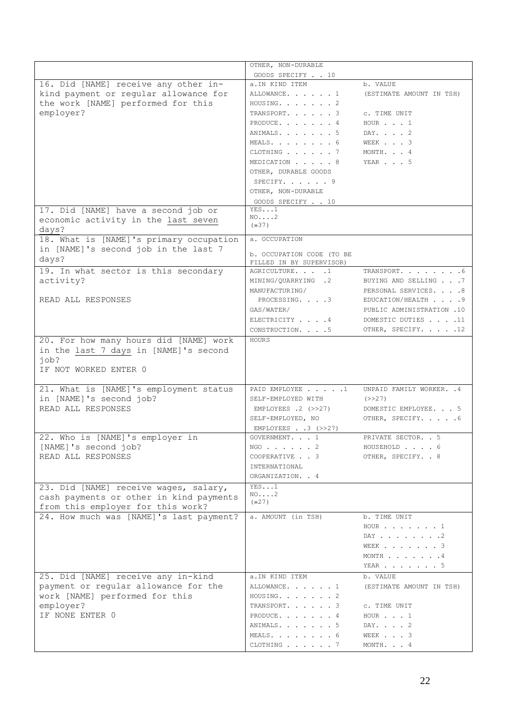|                                                                                                                  | OTHER, NON-DURABLE                                    |                           |
|------------------------------------------------------------------------------------------------------------------|-------------------------------------------------------|---------------------------|
|                                                                                                                  | GOODS SPECIFY 10                                      |                           |
| 16. Did [NAME] receive any other in-                                                                             | a.IN KIND ITEM                                        | b. VALUE                  |
| kind payment or regular allowance for                                                                            | ALLOWANCE. 1                                          | (ESTIMATE AMOUNT IN TSH)  |
| the work [NAME] performed for this                                                                               | HOUSING. 2                                            |                           |
| employer?                                                                                                        | TRANSPORT. 3                                          | c. TIME UNIT              |
|                                                                                                                  | PRODUCE. 4                                            | HOUR 1                    |
|                                                                                                                  | ANIMALS. 5                                            | DAY. 2                    |
|                                                                                                                  | MEALS. 6                                              | WEEK 3                    |
|                                                                                                                  | CLOTHING 7                                            | MONTH. 4                  |
|                                                                                                                  | MEDICATION 8<br>OTHER, DURABLE GOODS                  | YEAR 5                    |
|                                                                                                                  | SPECIFY. 9                                            |                           |
|                                                                                                                  | OTHER, NON-DURABLE                                    |                           |
|                                                                                                                  | GOODS SPECIFY 10                                      |                           |
| 17. Did [NAME] have a second job or                                                                              | YES1                                                  |                           |
| economic activity in the last seven                                                                              | NO2                                                   |                           |
| days?                                                                                                            | (x37)                                                 |                           |
| 18. What is [NAME]'s primary occupation                                                                          | a. OCCUPATION                                         |                           |
| in [NAME]'s second job in the last 7                                                                             |                                                       |                           |
| days?                                                                                                            | b. OCCUPATION CODE (TO BE<br>FILLED IN BY SUPERVISOR) |                           |
| 19. In what sector is this secondary                                                                             | AGRICULTURE. 1                                        | TRANSPORT. 6              |
| activity?                                                                                                        | MINING/OUARRYING .2                                   | BUYING AND SELLING 7      |
|                                                                                                                  | MANUFACTURING/                                        | PERSONAL SERVICES. 8      |
| READ ALL RESPONSES                                                                                               | PROCESSING. 3                                         | EDUCATION/HEALTH 9        |
|                                                                                                                  | GAS/WATER/                                            | PUBLIC ADMINISTRATION .10 |
|                                                                                                                  | ELECTRICITY 4                                         | DOMESTIC DUTIES 11        |
|                                                                                                                  | CONSTRUCTION. 5                                       | OTHER, SPECIFY. 12        |
| 20. For how many hours did [NAME] work<br>in the last 7 days in [NAME]'s second<br>job?<br>IF NOT WORKED ENTER 0 | HOURS                                                 |                           |
| 21. What is [NAME]'s employment status                                                                           | PAID EMPLOYEE 1                                       | UNPAID FAMILY WORKER. . 4 |
| in [NAME]'s second job?                                                                                          | SELF-EMPLOYED WITH                                    | (>>27)                    |
| READ ALL RESPONSES                                                                                               | EMPLOYEES $.2$ (>>27)                                 | DOMESTIC EMPLOYEE. 5      |
|                                                                                                                  | SELF-EMPLOYED, NO                                     | OTHER, SPECIFY. 6         |
|                                                                                                                  | EMPLOYEES 3 $(>>27)$                                  |                           |
| 22. Who is [NAME]'s employer in                                                                                  | GOVERNMENT. 1                                         | PRIVATE SECTOR. . 5       |
| [NAME]'s second job?                                                                                             | $NGO$ 2                                               | HOUSEHOLD 6               |
| READ ALL RESPONSES                                                                                               | COOPERATIVE 3                                         | OTHER, SPECIFY. . 8       |
|                                                                                                                  | INTERNATIONAL                                         |                           |
|                                                                                                                  | ORGANIZATION. . 4                                     |                           |
| 23. Did [NAME] receive wages, salary,                                                                            | YES1<br>$NO. \ldots 2$                                |                           |
| cash payments or other in kind payments                                                                          | (x27)                                                 |                           |
| from this employer for this work?<br>24. How much was [NAME]'s last payment?                                     | a. AMOUNT (in TSH)                                    | b. TIME UNIT              |
|                                                                                                                  |                                                       | $HOUR \t{. 1}$            |
|                                                                                                                  |                                                       | DAY 2                     |
|                                                                                                                  |                                                       | WEEK 3                    |
|                                                                                                                  |                                                       | MONTH 4                   |
|                                                                                                                  |                                                       | YEAR $\ldots$ $\ldots$ 5  |
| 25. Did [NAME] receive any in-kind                                                                               | a. IN KIND ITEM                                       | b. VALUE                  |
| payment or regular allowance for the                                                                             | ALLOWANCE. 1                                          | (ESTIMATE AMOUNT IN TSH)  |
| work [NAME] performed for this                                                                                   | HOUSING. 2                                            |                           |
| employer?                                                                                                        | TRANSPORT. 3                                          | C. TIME UNIT              |
| IF NONE ENTER 0                                                                                                  | PRODUCE. 4                                            | HOUR $\ldots$ 1           |
|                                                                                                                  | ANIMALS. 5                                            | DAY. 2                    |
|                                                                                                                  | MEALS. 6                                              | WEEK 3                    |
|                                                                                                                  | CLOTHING 7                                            | MONTH. 4                  |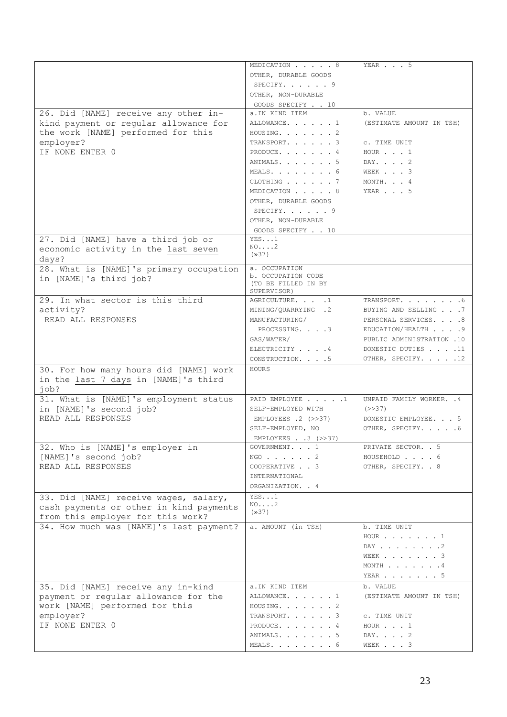|                                            | MEDICATION 8           | YEAR 5                                           |
|--------------------------------------------|------------------------|--------------------------------------------------|
|                                            | OTHER, DURABLE GOODS   |                                                  |
|                                            | SPECIFY. 9             |                                                  |
|                                            | OTHER, NON-DURABLE     |                                                  |
|                                            | GOODS SPECIFY 10       |                                                  |
| 26. Did [NAME] receive any other in-       | a. IN KIND ITEM        | b. VALUE                                         |
| kind payment or regular allowance for      | ALLOWANCE. 1           | (ESTIMATE AMOUNT IN TSH)                         |
| the work [NAME] performed for this         | HOUSING. 2             |                                                  |
| employer?                                  | TRANSPORT. 3           | C. TIME UNIT                                     |
| IF NONE ENTER 0                            | PRODUCE. 4             | HOUR 1                                           |
|                                            | ANIMALS. 5             | DAY. 2                                           |
|                                            | MEALS. 6               | WEEK 3                                           |
|                                            | CLOTHING 7             | MONTH. 4                                         |
|                                            | MEDICATION 8           | YEAR 5                                           |
|                                            | OTHER, DURABLE GOODS   |                                                  |
|                                            | SPECIFY. 9             |                                                  |
|                                            | OTHER, NON-DURABLE     |                                                  |
|                                            | GOODS SPECIFY 10       |                                                  |
| 27. Did [NAME] have a third job or         | YES1                   |                                                  |
| economic activity in the last seven        | $NO. \ldots 2$         |                                                  |
| days?                                      | (x37)                  |                                                  |
| 28. What is [NAME]'s primary occupation    | a. OCCUPATION          |                                                  |
| in [NAME]'s third job?                     | b. OCCUPATION CODE     |                                                  |
|                                            | (TO BE FILLED IN BY    |                                                  |
|                                            | SUPERVISOR)            |                                                  |
| 29. In what sector is this third           | AGRICULTURE. 1         | TRANSPORT. 6                                     |
| activity?                                  | MINING/QUARRYING .2    | BUYING AND SELLING 7                             |
| READ ALL RESPONSES                         | MANUFACTURING/         | PERSONAL SERVICES. 8                             |
|                                            | PROCESSING. 3          | EDUCATION/HEALTH 9                               |
|                                            | GAS/WATER/             | PUBLIC ADMINISTRATION .10                        |
|                                            | ELECTRICITY 4          | DOMESTIC DUTIES 11                               |
|                                            | CONSTRUCTION. 5        | OTHER, SPECIFY. 12                               |
| 30. For how many hours did [NAME] work     | HOURS                  |                                                  |
|                                            |                        |                                                  |
| in the last 7 days in [NAME]'s third       |                        |                                                  |
| job?                                       |                        |                                                  |
| 31. What is [NAME]'s employment status     | PAID EMPLOYEE 1        | UNPAID FAMILY WORKER. . 4                        |
| in [NAME]'s second job?                    | SELF-EMPLOYED WITH     | (>>37)                                           |
| READ ALL RESPONSES                         | EMPLOYEES $.2$ (>>37)  | DOMESTIC EMPLOYEE. 5                             |
|                                            | SELF-EMPLOYED, NO      | OTHER, SPECIFY. 6                                |
|                                            | EMPLOYEES 3 $(>>37)$   |                                                  |
|                                            | GOVERNMENT. 1          | PRIVATE SECTOR. . 5                              |
| 32. Who is [NAME]'s employer in            | $NGO$ 2                | HOUSEHOLD 6                                      |
| [NAME]'s second job?<br>READ ALL RESPONSES | COOPERATIVE 3          | OTHER, SPECIFY. . 8                              |
|                                            | INTERNATIONAL          |                                                  |
|                                            | ORGANIZATION. . 4      |                                                  |
|                                            |                        |                                                  |
| 33. Did [NAME] receive wages, salary,      | YES1<br>$NO. \ldots 2$ |                                                  |
| cash payments or other in kind payments    | (x37)                  |                                                  |
| from this employer for this work?          |                        |                                                  |
| 34. How much was [NAME]'s last payment?    | a. AMOUNT (in TSH)     | b. TIME UNIT                                     |
|                                            |                        | $HOUR \t{.} \t{.} \t{.} \t{.} \t{.} \t{.} \t{.}$ |
|                                            |                        | DAY 2                                            |
|                                            |                        | WEEK $\ldots$ $\ldots$ $\ldots$ 3                |
|                                            |                        | MONTH 4                                          |
|                                            |                        | YEAR 5                                           |
| 35. Did [NAME] receive any in-kind         | a. IN KIND ITEM        | b. VALUE                                         |
| payment or regular allowance for the       | ALLOWANCE. 1           | (ESTIMATE AMOUNT IN TSH)                         |
| work [NAME] performed for this             | HOUSING. 2             |                                                  |
| employer?                                  | TRANSPORT. 3           | C. TIME UNIT                                     |
| IF NONE ENTER 0                            | PRODUCE. 4             | HOUR 1                                           |
|                                            | ANIMALS. 5<br>MEALS. 6 | DAY. 2<br>WEEK 3                                 |